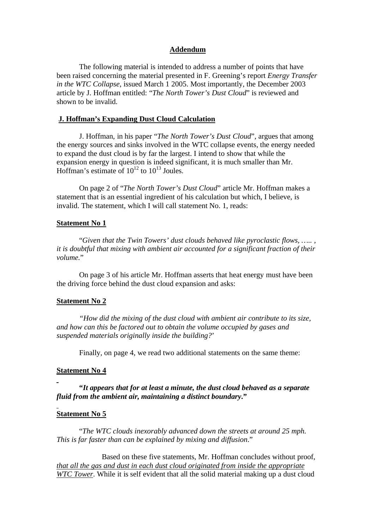### **Addendum**

The following material is intended to address a number of points that have been raised concerning the material presented in F. Greening's report *Energy Transfer in the WTC Collapse*, issued March 1 2005. Most importantly, the December 2003 article by J. Hoffman entitled: "*The North Tower's Dust Cloud*" is reviewed and shown to be invalid.

#### **J. Hoffman's Expanding Dust Cloud Calculation**

J. Hoffman, in his paper "*The North Tower's Dust Cloud*", argues that among the energy sources and sinks involved in the WTC collapse events, the energy needed to expand the dust cloud is by far the largest. I intend to show that while the expansion energy in question is indeed significant, it is much smaller than Mr. Hoffman's estimate of  $10^{12}$  to  $10^{13}$  Joules.

On page 2 of "*The North Tower's Dust Cloud*" article Mr. Hoffman makes a statement that is an essential ingredient of his calculation but which, I believe, is invalid. The statement, which I will call statement No. 1, reads:

### **Statement No 1**

"*Given that the Twin Towers' dust clouds behaved like pyroclastic flows, ….. , it is doubtful that mixing with ambient air accounted for a significant fraction of their volume.*"

On page 3 of his article Mr. Hoffman asserts that heat energy must have been the driving force behind the dust cloud expansion and asks:

## **Statement No 2**

*"How did the mixing of the dust cloud with ambient air contribute to its size, and how can this be factored out to obtain the volume occupied by gases and suspended materials originally inside the building?*'

Finally, on page 4, we read two additional statements on the same theme:

#### **Statement No 4**

**"***It appears that for at least a minute, the dust cloud behaved as a separate fluid from the ambient air, maintaining a distinct boundary***."**

#### **Statement No 5**

"*The WTC clouds inexorably advanced down the streets at around 25 mph. This is far faster than can be explained by mixing and diffusion*."

Based on these five statements, Mr. Hoffman concludes without proof, *that all the gas and dust in each dust cloud originated from inside the appropriate WTC Tower*. While it is self evident that all the solid material making up a dust cloud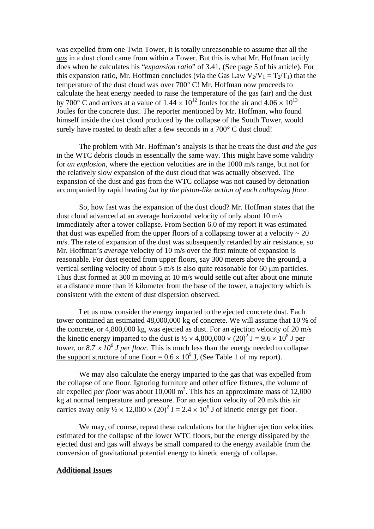was expelled from one Twin Tower, it is totally unreasonable to assume that all the *gas* in a dust cloud came from within a Tower. But this is what Mr. Hoffman tacitly does when he calculates his "*expansion ratio*" of 3.41, (See page 5 of his article). For this expansion ratio, Mr. Hoffman concludes (via the Gas Law  $V_2/V_1 = T_2/T_1$ ) that the temperature of the dust cloud was over  $700^{\circ}$  C! Mr. Hoffman now proceeds to calculate the heat energy needed to raise the temperature of the gas (air) and the dust by 700 $^{\circ}$  C and arrives at a value of 1.44  $\times$  10<sup>12</sup> Joules for the air and 4.06  $\times$  10<sup>13</sup> Joules for the concrete dust. The reporter mentioned by Mr. Hoffman, who found himself inside the dust cloud produced by the collapse of the South Tower, would surely have roasted to death after a few seconds in a  $700^{\circ}$  C dust cloud!

The problem with Mr. Hoffman's analysis is that he treats the dust *and the gas* in the WTC debris clouds in essentially the same way. This might have some validity for *an explosion*, where the ejection velocities are in the 1000 m/s range, but not for the relatively slow expansion of the dust cloud that was actually observed. The expansion of the dust and gas from the WTC collapse was not caused by detonation accompanied by rapid heating *but by the piston-like action of each collapsing floor*.

So, how fast was the expansion of the dust cloud? Mr. Hoffman states that the dust cloud advanced at an average horizontal velocity of only about 10 m/s immediately after a tower collapse. From Section 6.0 of my report it was estimated that dust was expelled from the upper floors of a collapsing tower at a velocity  $\sim 20$ m/s. The rate of expansion of the dust was subsequently retarded by air resistance, so Mr. Hoffman's *average* velocity of 10 m/s over the first minute of expansion is reasonable. For dust ejected from upper floors, say 300 meters above the ground, a vertical settling velocity of about 5 m/s is also quite reasonable for 60  $\mu$ m particles. Thus dust formed at 300 m moving at 10 m/s would settle out after about one minute at a distance more than ½ kilometer from the base of the tower, a trajectory which is consistent with the extent of dust dispersion observed.

Let us now consider the energy imparted to the ejected concrete dust. Each tower contained an estimated 48,000,000 kg of concrete. We will assume that 10 % of the concrete, or 4,800,000 kg, was ejected as dust. For an ejection velocity of 20 m/s the kinetic energy imparted to the dust is  $\frac{1}{2} \times 4,800,000 \times (20)^2$  J = 9.6  $\times$  10<sup>8</sup> J per tower, or  $8.7 \times 10^6$  *J per floor*. This is much less than the energy needed to collapse the support structure of one floor =  $0.6 \times 10^9$  J, (See Table 1 of my report).

We may also calculate the energy imparted to the gas that was expelled from the collapse of one floor. Ignoring furniture and other office fixtures, the volume of air expelled *per floor* was about 10,000 m 3 . This has an approximate mass of 12,000 kg at normal temperature and pressure. For an ejection velocity of 20 m/s this air carries away only  $\frac{1}{2} \times 12,000 \times (20)^2$  J = 2.4  $\times 10^6$  J of kinetic energy per floor.

We may, of course, repeat these calculations for the higher ejection velocities estimated for the collapse of the lower WTC floors, but the energy dissipated by the ejected dust and gas will always be small compared to the energy available from the conversion of gravitational potential energy to kinetic energy of collapse.

## **Additional Issues**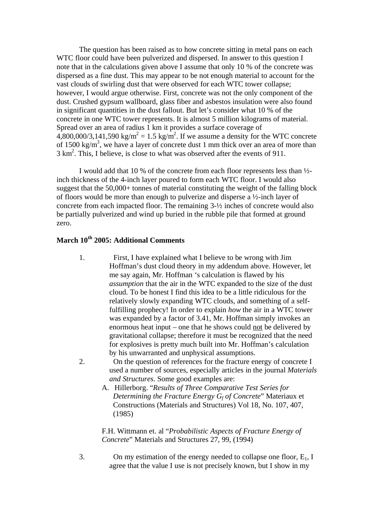The question has been raised as to how concrete sitting in metal pans on each WTC floor could have been pulverized and dispersed. In answer to this question I note that in the calculations given above I assume that only 10 % of the concrete was dispersed as a fine dust. This may appear to be not enough material to account for the vast clouds of swirling dust that were observed for each WTC tower collapse; however, I would argue otherwise. First, concrete was not the only component of the dust. Crushed gypsum wallboard, glass fiber and asbestos insulation were also found in significant quantities in the dust fallout. But let's consider what 10 % of the concrete in one WTC tower represents. It is almost 5 million kilograms of material. Spread over an area of radius 1 km it provides a surface coverage of  $4,800,000/3,141,590 \text{ kg/m}^2 = 1.5 \text{ kg/m}^2$ . If we assume a density for the WTC concrete of 1500 kg/m<sup>3</sup>, we have a layer of concrete dust 1 mm thick over an area of more than  $3 \text{ km}^2$ . This, I believe, is close to what was observed after the events of 911.

I would add that 10 % of the concrete from each floor represents less than ½ inch thickness of the 4-inch layer poured to form each WTC floor. I would also suggest that the 50,000+ tonnes of material constituting the weight of the falling block of floors would be more than enough to pulverize and disperse a ½-inch layer of concrete from each impacted floor. The remaining 3-½ inches of concrete would also be partially pulverized and wind up buried in the rubble pile that formed at ground zero.

# **March 10th 2005: Additional Comments**

- 1. First, I have explained what I believe to be wrong with Jim Hoffman's dust cloud theory in my addendum above. However, let me say again, Mr. Hoffman 's calculation is flawed by his *assumption* that the air in the WTC expanded to the size of the dust cloud. To be honest I find this idea to be a little ridiculous for the relatively slowly expanding WTC clouds, and something of a selffulfilling prophecy! In order to explain *how* the air in a WTC tower was expanded by a factor of 3.41, Mr. Hoffman simply invokes an enormous heat input – one that he shows could not be delivered by gravitational collapse; therefore it must be recognized that the need for explosives is pretty much built into Mr. Hoffman's calculation by his unwarranted and unphysical assumptions.
- 2. On the question of references for the fracture energy of concrete I used a number of sources, especially articles in the journal *Materials and Structures*. Some good examples are:
	- A. Hillerborg. "*Results of Three Comparative Test Series for Determining the Fracture Energy G<sup>f</sup> of Concrete*" Materiaux et Constructions (Materials and Structures) Vol 18, No. 107, 407, (1985)

F.H. Wittmann et. al "*Probabilistic Aspects of Fracture Energy of Concrete*" Materials and Structures 27, 99, (1994)

3. On my estimation of the energy needed to collapse one floor,  $E_1$ , I agree that the value I use is not precisely known, but I show in my